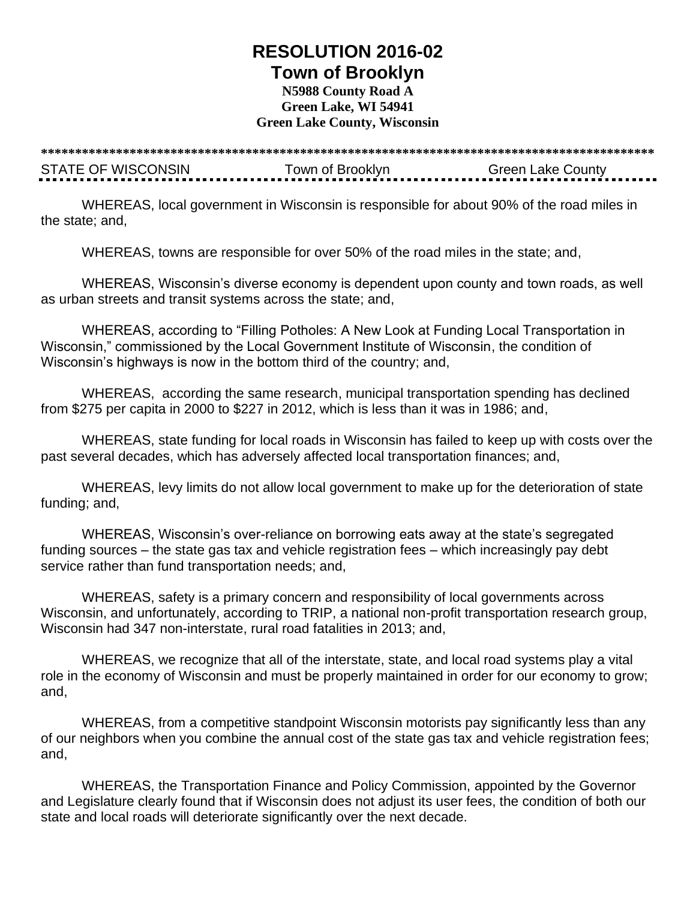## **RESOLUTION 2016-02 Town of Brooklyn**

## **N5988 County Road A Green Lake, WI 54941 Green Lake County, Wisconsin**

**\*\*\*\*\*\*\*\*\*\*\*\*\*\*\*\*\*\*\*\*\*\*\*\*\*\*\*\*\*\*\*\*\*\*\*\*\*\*\*\*\*\*\*\*\*\*\*\*\*\*\*\*\*\*\*\*\*\*\*\*\*\*\*\*\*\*\*\*\*\*\*\*\*\*\*\*\*\*\*\*\*\*\*\*\*\*\*\*\*\*** STATE OF WISCONSIN Town of Brooklyn Green Lake County

WHEREAS, local government in Wisconsin is responsible for about 90% of the road miles in the state; and,

WHEREAS, towns are responsible for over 50% of the road miles in the state; and,

WHEREAS, Wisconsin's diverse economy is dependent upon county and town roads, as well as urban streets and transit systems across the state; and,

WHEREAS, according to "Filling Potholes: A New Look at Funding Local Transportation in Wisconsin," commissioned by the Local Government Institute of Wisconsin, the condition of Wisconsin's highways is now in the bottom third of the country; and,

WHEREAS, according the same research, municipal transportation spending has declined from \$275 per capita in 2000 to \$227 in 2012, which is less than it was in 1986; and,

WHEREAS, state funding for local roads in Wisconsin has failed to keep up with costs over the past several decades, which has adversely affected local transportation finances; and,

WHEREAS, levy limits do not allow local government to make up for the deterioration of state funding; and,

WHEREAS, Wisconsin's over-reliance on borrowing eats away at the state's segregated funding sources – the state gas tax and vehicle registration fees – which increasingly pay debt service rather than fund transportation needs; and,

WHEREAS, safety is a primary concern and responsibility of local governments across Wisconsin, and unfortunately, according to TRIP, a national non-profit transportation research group, Wisconsin had 347 non-interstate, rural road fatalities in 2013; and,

WHEREAS, we recognize that all of the interstate, state, and local road systems play a vital role in the economy of Wisconsin and must be properly maintained in order for our economy to grow; and,

WHEREAS, from a competitive standpoint Wisconsin motorists pay significantly less than any of our neighbors when you combine the annual cost of the state gas tax and vehicle registration fees; and,

WHEREAS, the Transportation Finance and Policy Commission, appointed by the Governor and Legislature clearly found that if Wisconsin does not adjust its user fees, the condition of both our state and local roads will deteriorate significantly over the next decade.